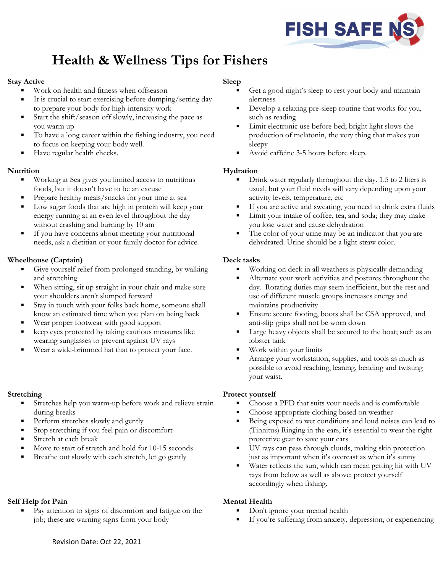

# **Health & Wellness Tips for Fishers**

## **Stay Active**

- Work on health and fitness when offseason
- It is crucial to start exercising before dumping/setting day to prepare your body for high-intensity work
- Start the shift/season off slowly, increasing the pace as you warm up
- To have a long career within the fishing industry, you need to focus on keeping your body well.
- Have regular health checks.

# **Nutrition**

- **Working at Sea gives you limited access to nutritious** foods, but it doesn't have to be an excuse
- **Prepare healthy meals/snacks for your time at sea**
- **Low sugar foods that are high in protein will keep your** energy running at an even level throughout the day without crashing and burning by 10 am
- If you have concerns about meeting your nutritional needs, ask a dietitian or your family doctor for advice.

## **Wheelhouse (Captain)**

- Give yourself relief from prolonged standing, by walking and stretching
- When sitting, sit up straight in your chair and make sure your shoulders aren't slumped forward
- Stay in touch with your folks back home, someone shall know an estimated time when you plan on being back
- Wear proper footwear with good support
- keep eyes protected by taking cautious measures like wearing sunglasses to prevent against UV rays
- Wear a wide-brimmed hat that to protect your face.

#### **Stretching**

- Stretches help you warm-up before work and relieve strain during breaks
- Perform stretches slowly and gently
- Stop stretching if you feel pain or discomfort
- Stretch at each break
- Move to start of stretch and hold for 10-15 seconds
- Breathe out slowly with each stretch, let go gently

#### **Self Help for Pain**

 Pay attention to signs of discomfort and fatigue on the job; these are warning signs from your body

## **Sleep**

- Get a good night's sleep to rest your body and maintain alertness
- Develop a relaxing pre-sleep routine that works for you, such as reading
- Limit electronic use before bed; bright light slows the production of melatonin, the very thing that makes you sleepy
- Avoid caffeine 3-5 hours before sleep.

## **Hydration**

- Drink water regularly throughout the day. 1.5 to 2 liters is usual, but your fluid needs will vary depending upon your activity levels, temperature, etc
- If you are active and sweating, you need to drink extra fluids
- Limit your intake of coffee, tea, and soda; they may make you lose water and cause dehydration
- The color of your urine may be an indicator that you are dehydrated. Urine should be a light straw color.

## **Deck tasks**

- Working on deck in all weathers is physically demanding
- Alternate your work activities and postures throughout the day. Rotating duties may seem inefficient, but the rest and use of different muscle groups increases energy and maintains productivity
- Ensure secure footing, boots shall be CSA approved, and anti-slip grips shall not be worn down
- Large heavy objects shall be secured to the boat; such as an lobster tank
- Work within your limits
- Arrange your workstation, supplies, and tools as much as possible to avoid reaching, leaning, bending and twisting your waist.

#### **Protect yourself**

- Choose a PFD that suits your needs and is comfortable
- Choose appropriate clothing based on weather
- Being exposed to wet conditions and loud noises can lead to (Tinnitus) Ringing in the ears, it's essential to wear the right protective gear to save your ears
- UV rays can pass through clouds, making skin protection just as important when it's overcast as when it's sunny
- Water reflects the sun, which can mean getting hit with UV rays from below as well as above; protect yourself accordingly when fishing.

# **Mental Health**

- Don't ignore your mental health
- If you're suffering from anxiety, depression, or experiencing